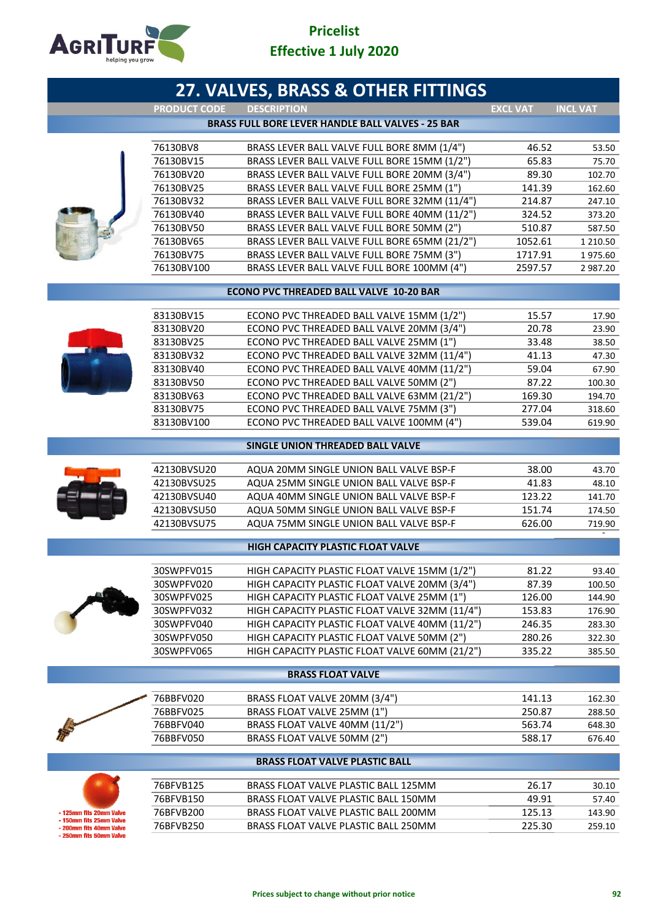

| 27. VALVES, BRASS & OTHER FITTINGS                 |                     |                                                          |                 |                 |  |
|----------------------------------------------------|---------------------|----------------------------------------------------------|-----------------|-----------------|--|
|                                                    | <b>PRODUCT CODE</b> | <b>DESCRIPTION</b>                                       | <b>EXCL VAT</b> | <b>INCL VAT</b> |  |
|                                                    |                     | <b>BRASS FULL BORE LEVER HANDLE BALL VALVES - 25 BAR</b> |                 |                 |  |
|                                                    | 76130BV8            | BRASS LEVER BALL VALVE FULL BORE 8MM (1/4")              | 46.52           | 53.50           |  |
|                                                    | 76130BV15           | BRASS LEVER BALL VALVE FULL BORE 15MM (1/2")             | 65.83           | 75.70           |  |
|                                                    | 76130BV20           | BRASS LEVER BALL VALVE FULL BORE 20MM (3/4")             | 89.30           | 102.70          |  |
|                                                    | 76130BV25           | BRASS LEVER BALL VALVE FULL BORE 25MM (1")               | 141.39          | 162.60          |  |
|                                                    | 76130BV32           | BRASS LEVER BALL VALVE FULL BORE 32MM (11/4")            | 214.87          | 247.10          |  |
|                                                    | 76130BV40           | BRASS LEVER BALL VALVE FULL BORE 40MM (11/2")            | 324.52          | 373.20          |  |
|                                                    | 76130BV50           | BRASS LEVER BALL VALVE FULL BORE 50MM (2")               | 510.87          | 587.50          |  |
|                                                    | 76130BV65           | BRASS LEVER BALL VALVE FULL BORE 65MM (21/2")            | 1052.61         | 1 2 1 0.50      |  |
|                                                    | 76130BV75           | BRASS LEVER BALL VALVE FULL BORE 75MM (3")               | 1717.91         | 1975.60         |  |
|                                                    | 76130BV100          | BRASS LEVER BALL VALVE FULL BORE 100MM (4")              | 2597.57         | 2987.20         |  |
|                                                    |                     | <b>ECONO PVC THREADED BALL VALVE 10-20 BAR</b>           |                 |                 |  |
|                                                    | 83130BV15           | ECONO PVC THREADED BALL VALVE 15MM (1/2")                | 15.57           | 17.90           |  |
|                                                    | 83130BV20           | ECONO PVC THREADED BALL VALVE 20MM (3/4")                | 20.78           | 23.90           |  |
|                                                    | 83130BV25           | ECONO PVC THREADED BALL VALVE 25MM (1")                  | 33.48           | 38.50           |  |
|                                                    | 83130BV32           | ECONO PVC THREADED BALL VALVE 32MM (11/4")               | 41.13           | 47.30           |  |
|                                                    | 83130BV40           | ECONO PVC THREADED BALL VALVE 40MM (11/2")               | 59.04           | 67.90           |  |
|                                                    | 83130BV50           | ECONO PVC THREADED BALL VALVE 50MM (2")                  | 87.22           | 100.30          |  |
|                                                    | 83130BV63           | ECONO PVC THREADED BALL VALVE 63MM (21/2")               | 169.30          | 194.70          |  |
|                                                    | 83130BV75           | ECONO PVC THREADED BALL VALVE 75MM (3")                  | 277.04          | 318.60          |  |
|                                                    | 83130BV100          | ECONO PVC THREADED BALL VALVE 100MM (4")                 | 539.04          | 619.90          |  |
|                                                    |                     | SINGLE UNION THREADED BALL VALVE                         |                 |                 |  |
|                                                    | 42130BVSU20         | AQUA 20MM SINGLE UNION BALL VALVE BSP-F                  | 38.00           | 43.70           |  |
|                                                    | 42130BVSU25         | AQUA 25MM SINGLE UNION BALL VALVE BSP-F                  | 41.83           | 48.10           |  |
|                                                    | 42130BVSU40         | AQUA 40MM SINGLE UNION BALL VALVE BSP-F                  | 123.22          | 141.70          |  |
|                                                    | 42130BVSU50         | AQUA 50MM SINGLE UNION BALL VALVE BSP-F                  | 151.74          | 174.50          |  |
|                                                    | 42130BVSU75         | AQUA 75MM SINGLE UNION BALL VALVE BSP-F                  | 626.00          | 719.90          |  |
| <b>HIGH CAPACITY PLASTIC FLOAT VALVE</b>           |                     |                                                          |                 |                 |  |
|                                                    | 30SWPFV015          | HIGH CAPACITY PLASTIC FLOAT VALVE 15MM (1/2")            | 81.22           | 93.40           |  |
|                                                    | 30SWPFV020          | HIGH CAPACITY PLASTIC FLOAT VALVE 20MM (3/4")            | 87.39           | 100.50          |  |
|                                                    | 30SWPFV025          | HIGH CAPACITY PLASTIC FLOAT VALVE 25MM (1")              | 126.00          | 144.90          |  |
|                                                    | 30SWPFV032          | HIGH CAPACITY PLASTIC FLOAT VALVE 32MM (11/4")           | 153.83          | 176.90          |  |
|                                                    | 30SWPFV040          | HIGH CAPACITY PLASTIC FLOAT VALVE 40MM (11/2")           | 246.35          | 283.30          |  |
|                                                    | 30SWPFV050          | HIGH CAPACITY PLASTIC FLOAT VALVE 50MM (2")              | 280.26          | 322.30          |  |
|                                                    | 30SWPFV065          | HIGH CAPACITY PLASTIC FLOAT VALVE 60MM (21/2")           | 335.22          | 385.50          |  |
| <b>BRASS FLOAT VALVE</b>                           |                     |                                                          |                 |                 |  |
|                                                    | 76BBFV020           | BRASS FLOAT VALVE 20MM (3/4")                            | 141.13          | 162.30          |  |
|                                                    | 76BBFV025           | BRASS FLOAT VALVE 25MM (1")                              | 250.87          | 288.50          |  |
|                                                    | 76BBFV040           | BRASS FLOAT VALVE 40MM (11/2")                           | 563.74          | 648.30          |  |
|                                                    | 76BBFV050           | BRASS FLOAT VALVE 50MM (2")                              | 588.17          | 676.40          |  |
|                                                    |                     | <b>BRASS FLOAT VALVE PLASTIC BALL</b>                    |                 |                 |  |
|                                                    | 76BFVB125           | BRASS FLOAT VALVE PLASTIC BALL 125MM                     | 26.17           | 30.10           |  |
|                                                    | 76BFVB150           | BRASS FLOAT VALVE PLASTIC BALL 150MM                     | 49.91           | 57.40           |  |
| - 125mm fits 20mm Valve                            | 76BFVB200           | BRASS FLOAT VALVE PLASTIC BALL 200MM                     | 125.13          | 143.90          |  |
| - 150mm fits 25mm Valve<br>- 200mm fits 40mm Valve | 76BFVB250           | BRASS FLOAT VALVE PLASTIC BALL 250MM                     | 225.30          | 259.10          |  |
| - 250mm fits 50mm Valve                            |                     |                                                          |                 |                 |  |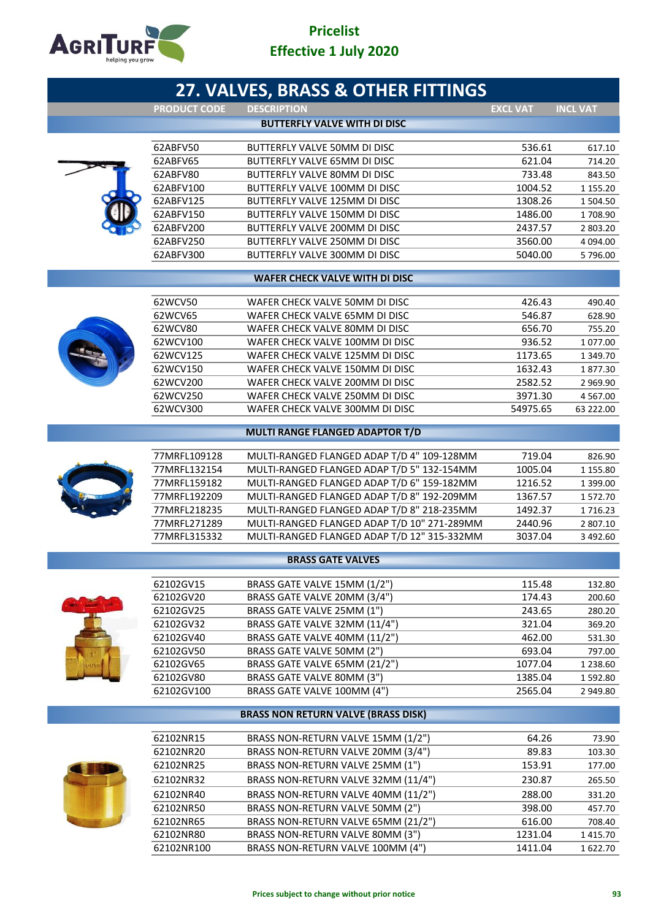

|                      | 27. VALVES, BRASS & OTHER FITTINGS                                |                   |                     |
|----------------------|-------------------------------------------------------------------|-------------------|---------------------|
| <b>PRODUCT CODE</b>  | <b>DESCRIPTION</b>                                                | <b>EXCL VAT</b>   | <b>INCL VAT</b>     |
|                      | <b>BUTTERFLY VALVE WITH DI DISC</b>                               |                   |                     |
| 62ABFV50             | BUTTERFLY VALVE 50MM DI DISC                                      | 536.61            | 617.10              |
| 62ABFV65             | BUTTERFLY VALVE 65MM DI DISC                                      | 621.04            | 714.20              |
| 62ABFV80             | BUTTERFLY VALVE 80MM DI DISC                                      | 733.48            | 843.50              |
| 62ABFV100            | BUTTERFLY VALVE 100MM DI DISC                                     | 1004.52           | 1 155.20            |
| 62ABFV125            | BUTTERFLY VALVE 125MM DI DISC                                     | 1308.26           | 1504.50             |
| 62ABFV150            | BUTTERFLY VALVE 150MM DI DISC                                     | 1486.00           | 1708.90             |
| 62ABFV200            | BUTTERFLY VALVE 200MM DI DISC                                     | 2437.57           | 2 803.20            |
| 62ABFV250            | BUTTERFLY VALVE 250MM DI DISC                                     | 3560.00           | 4 094.00            |
| 62ABFV300            | BUTTERFLY VALVE 300MM DI DISC                                     | 5040.00           | 5796.00             |
|                      | <b>WAFER CHECK VALVE WITH DI DISC</b>                             |                   |                     |
| 62WCV50              | WAFER CHECK VALVE 50MM DI DISC                                    | 426.43            | 490.40              |
|                      |                                                                   | 546.87            |                     |
| 62WCV65              | WAFER CHECK VALVE 65MM DI DISC                                    |                   | 628.90              |
| 62WCV80<br>62WCV100  | WAFER CHECK VALVE 80MM DI DISC<br>WAFER CHECK VALVE 100MM DI DISC | 656.70            | 755.20              |
|                      | WAFER CHECK VALVE 125MM DI DISC                                   | 936.52<br>1173.65 | 1077.00             |
| 62WCV125<br>62WCV150 | WAFER CHECK VALVE 150MM DI DISC                                   | 1632.43           | 1 349.70<br>1877.30 |
| 62WCV200             | WAFER CHECK VALVE 200MM DI DISC                                   | 2582.52           | 2 969.90            |
| 62WCV250             | WAFER CHECK VALVE 250MM DI DISC                                   | 3971.30           | 4 5 6 7 .00         |
| 62WCV300             | WAFER CHECK VALVE 300MM DI DISC                                   | 54975.65          | 63 222.00           |
|                      |                                                                   |                   |                     |
|                      | <b>MULTI RANGE FLANGED ADAPTOR T/D</b>                            |                   |                     |
| 77MRFL109128         | MULTI-RANGED FLANGED ADAP T/D 4" 109-128MM                        | 719.04            | 826.90              |
| 77MRFL132154         | MULTI-RANGED FLANGED ADAP T/D 5" 132-154MM                        | 1005.04           | 1 155.80            |
| 77MRFL159182         | MULTI-RANGED FLANGED ADAP T/D 6" 159-182MM                        | 1216.52           | 1 3 9 9.00          |
| 77MRFL192209         | MULTI-RANGED FLANGED ADAP T/D 8" 192-209MM                        | 1367.57           | 1572.70             |
| 77MRFL218235         | MULTI-RANGED FLANGED ADAP T/D 8" 218-235MM                        | 1492.37           | 1716.23             |
| 77MRFL271289         | MULTI-RANGED FLANGED ADAP T/D 10" 271-289MM                       | 2440.96           | 2 807.10            |
| 77MRFL315332         | MULTI-RANGED FLANGED ADAP T/D 12" 315-332MM                       | 3037.04           | 3 492.60            |
|                      | <b>BRASS GATE VALVES</b>                                          |                   |                     |
|                      |                                                                   |                   |                     |
| 62102GV15            | BRASS GATE VALVE 15MM (1/2")                                      | 115.48            | 132.80              |
| 62102GV20            | BRASS GATE VALVE 20MM (3/4")                                      | 174.43            | 200.60              |
| 62102GV25            | BRASS GATE VALVE 25MM (1")                                        | 243.65            | 280.20              |
| 62102GV32            | BRASS GATE VALVE 32MM (11/4")                                     | 321.04            | 369.20              |
| 62102GV40            | BRASS GATE VALVE 40MM (11/2")                                     | 462.00            | 531.30              |
| 62102GV50            | BRASS GATE VALVE 50MM (2")                                        | 693.04            | 797.00              |
| 62102GV65            | BRASS GATE VALVE 65MM (21/2")                                     | 1077.04           | 1 2 3 8 . 6 0       |
| 62102GV80            | BRASS GATE VALVE 80MM (3")                                        | 1385.04           | 1592.80             |
| 62102GV100           | BRASS GATE VALVE 100MM (4")                                       | 2565.04           | 2949.80             |
|                      | <b>BRASS NON RETURN VALVE (BRASS DISK)</b>                        |                   |                     |
| 62102NR15            | BRASS NON-RETURN VALVE 15MM (1/2")                                | 64.26             | 73.90               |
| 62102NR20            | BRASS NON-RETURN VALVE 20MM (3/4")                                | 89.83             | 103.30              |
| 62102NR25            | BRASS NON-RETURN VALVE 25MM (1")                                  | 153.91            | 177.00              |
| 62102NR32            | BRASS NON-RETURN VALVE 32MM (11/4")                               | 230.87            | 265.50              |
| 62102NR40            | BRASS NON-RETURN VALVE 40MM (11/2")                               | 288.00            | 331.20              |
| 62102NR50            | BRASS NON-RETURN VALVE 50MM (2")                                  | 398.00            | 457.70              |
| 62102NR65            | BRASS NON-RETURN VALVE 65MM (21/2")                               | 616.00            | 708.40              |
| 62102NR80            | BRASS NON-RETURN VALVE 80MM (3")                                  | 1231.04           | 1415.70             |
| 62102NR100           | BRASS NON-RETURN VALVE 100MM (4")                                 | 1411.04           | 1622.70             |
|                      |                                                                   |                   |                     |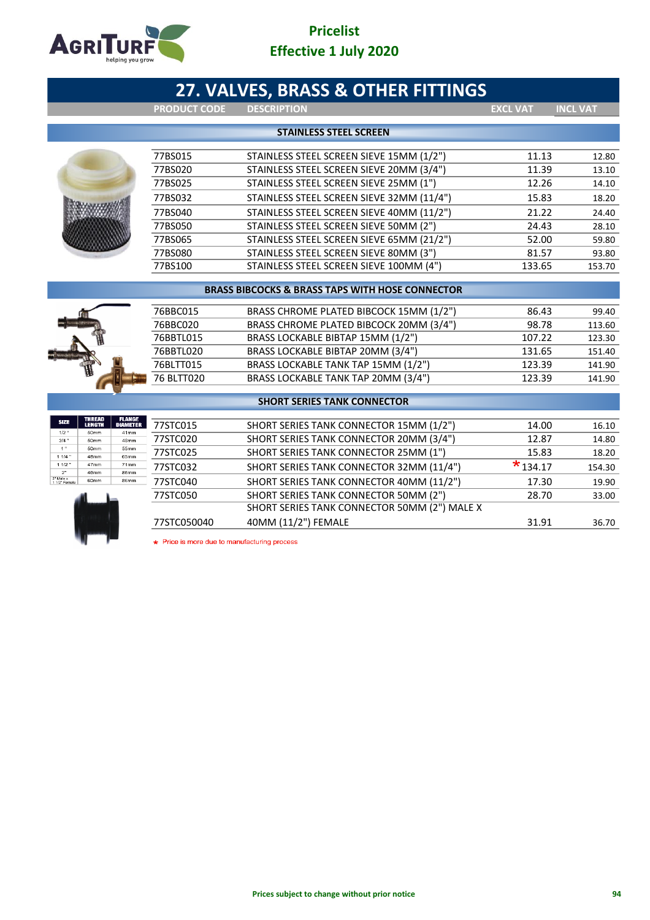

|                                                                     |                      | 27. VALVES, BRASS & OTHER FITTINGS                                                    |                     |                 |
|---------------------------------------------------------------------|----------------------|---------------------------------------------------------------------------------------|---------------------|-----------------|
|                                                                     | <b>PRODUCT CODE</b>  | <b>DESCRIPTION</b>                                                                    | <b>EXCL VAT</b>     | <b>INCL VAT</b> |
|                                                                     |                      | <b>STAINLESS STEEL SCREEN</b>                                                         |                     |                 |
|                                                                     | 77BS015              | STAINLESS STEEL SCREEN SIEVE 15MM (1/2")                                              | 11.13               | 12.80           |
|                                                                     | 77BS020              | STAINLESS STEEL SCREEN SIEVE 20MM (3/4")                                              | 11.39               | 13.10           |
|                                                                     | 77BS025              | STAINLESS STEEL SCREEN SIEVE 25MM (1")                                                | 12.26               | 14.10           |
|                                                                     | 77BS032              | STAINLESS STEEL SCREEN SIEVE 32MM (11/4")                                             | 15.83               | 18.20           |
|                                                                     | 77BS040              | STAINLESS STEEL SCREEN SIEVE 40MM (11/2")                                             | 21.22               | 24.40           |
|                                                                     | 77BS050              | STAINLESS STEEL SCREEN SIEVE 50MM (2")                                                | 24.43               | 28.10           |
|                                                                     | 77BS065              | STAINLESS STEEL SCREEN SIEVE 65MM (21/2")                                             | 52.00               | 59.80           |
|                                                                     | 77BS080              | STAINLESS STEEL SCREEN SIEVE 80MM (3")                                                | 81.57               | 93.80           |
|                                                                     | 77BS100              | STAINLESS STEEL SCREEN SIEVE 100MM (4")                                               | 133.65              | 153.70          |
|                                                                     |                      | <b>BRASS BIBCOCKS &amp; BRASS TAPS WITH HOSE CONNECTOR</b>                            |                     |                 |
|                                                                     |                      |                                                                                       |                     |                 |
|                                                                     | 76BBC015             | BRASS CHROME PLATED BIBCOCK 15MM (1/2")                                               | 86.43               | 99.40           |
|                                                                     | 76BBC020             | BRASS CHROME PLATED BIBCOCK 20MM (3/4")                                               | 98.78               | 113.60          |
|                                                                     | 76BBTL015            | BRASS LOCKABLE BIBTAP 15MM (1/2")                                                     | 107.22              | 123.30          |
|                                                                     | 76BBTL020            | BRASS LOCKABLE BIBTAP 20MM (3/4")                                                     | 131.65              | 151.40          |
|                                                                     | 76BLTT015            | BRASS LOCKABLE TANK TAP 15MM (1/2")                                                   | 123.39              | 141.90          |
|                                                                     | 76 BLTT020           | BRASS LOCKABLE TANK TAP 20MM (3/4")                                                   | 123.39              | 141.90          |
|                                                                     |                      | <b>SHORT SERIES TANK CONNECTOR</b>                                                    |                     |                 |
| <b>THREAD</b><br>LENGTH<br><b>FLANGE</b><br>DIAMETER<br><b>SIZE</b> |                      |                                                                                       |                     |                 |
| $1/2$ "<br>50mm<br>41mm                                             | 77STC015             | SHORT SERIES TANK CONNECTOR 15MM (1/2")                                               | 14.00               | 16.10           |
| $3/4$ "<br>48mm<br>50mm<br>1 <sup>m</sup><br>50mm<br>55mm           | 77STC020<br>77STC025 | SHORT SERIES TANK CONNECTOR 20MM (3/4")                                               | 12.87               | 14.80           |
| $11/4$ "<br>48mm<br>65mm<br>11/2<br>47mm<br>71mm                    |                      | SHORT SERIES TANK CONNECTOR 25MM (1")                                                 | 15.83<br>$*$ 134.17 | 18.20           |
| $2^\circ$<br>46mm<br>86mm<br>2" Male x<br>1 1/2" Fema<br>60mm       | 77STC032             | SHORT SERIES TANK CONNECTOR 32MM (11/4")                                              |                     | 154.30          |
| 86mm                                                                | 77STC040             | SHORT SERIES TANK CONNECTOR 40MM (11/2")                                              | 17.30               | 19.90           |
|                                                                     | 77STC050             | SHORT SERIES TANK CONNECTOR 50MM (2")<br>SHORT SERIES TANK CONNECTOR 50MM (2") MALE X | 28.70               | 33.00           |
|                                                                     | 77STC050040          | 40MM (11/2") FEMALE                                                                   | 31.91               | 36.70           |

 $\star$  Price is more due to manufacturing process